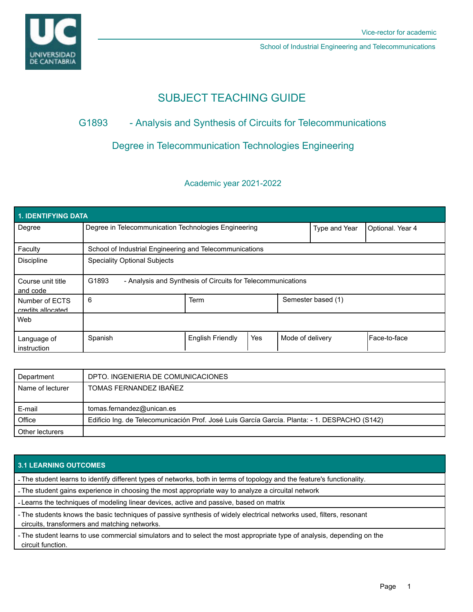

School of Industrial Engineering and Telecommunications

# SUBJECT TEACHING GUIDE

## G1893 - Analysis and Synthesis of Circuits for Telecommunications

## Degree in Telecommunication Technologies Engineering

### Academic year 2021-2022

| <b>1. IDENTIFYING DATA</b>          |                                                                      |                         |     |                  |                    |              |  |  |  |
|-------------------------------------|----------------------------------------------------------------------|-------------------------|-----|------------------|--------------------|--------------|--|--|--|
| Degree                              | Degree in Telecommunication Technologies Engineering                 |                         |     | Type and Year    | Optional. Year 4   |              |  |  |  |
| Faculty                             | School of Industrial Engineering and Telecommunications              |                         |     |                  |                    |              |  |  |  |
| <b>Discipline</b>                   | <b>Speciality Optional Subjects</b>                                  |                         |     |                  |                    |              |  |  |  |
| Course unit title<br>and code       | G1893<br>- Analysis and Synthesis of Circuits for Telecommunications |                         |     |                  |                    |              |  |  |  |
| Number of ECTS<br>credits allocated | 6                                                                    | <b>Term</b>             |     |                  | Semester based (1) |              |  |  |  |
| Web                                 |                                                                      |                         |     |                  |                    |              |  |  |  |
| Language of<br>instruction          | Spanish                                                              | <b>English Friendly</b> | Yes | Mode of delivery |                    | Face-to-face |  |  |  |

| Department       | DPTO. INGENIERIA DE COMUNICACIONES                                                            |
|------------------|-----------------------------------------------------------------------------------------------|
| Name of lecturer | TOMAS FERNANDEZ IBAÑEZ                                                                        |
|                  |                                                                                               |
| E-mail           | tomas.fernandez@unican.es                                                                     |
| Office           | Edificio Ing. de Telecomunicación Prof. José Luis García García. Planta: - 1. DESPACHO (S142) |
| Other lecturers  |                                                                                               |

### **3.1 LEARNING OUTCOMES**

- The student learns to identify different types of networks, both in terms of topology and the feature's functionality.

- The student gains experience in choosing the most appropriate way to analyze a circuital network

- Learns the techniques of modeling linear devices, active and passive, based on matrix

- The students knows the basic techniques of passive synthesis of widely electrical networks used, filters, resonant circuits, transformers and matching networks.

- The student learns to use commercial simulators and to select the most appropriate type of analysis, depending on the circuit function.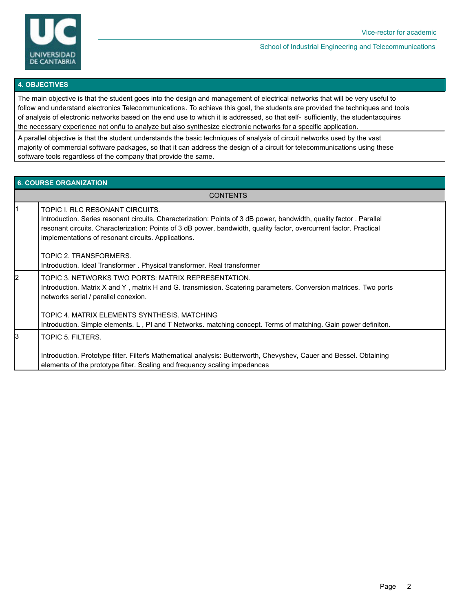

#### School of Industrial Engineering and Telecommunications

#### **4. OBJECTIVES**

The main objective is that the student goes into the design and management of electrical networks that will be very useful to follow and understand electronics Telecommunications. To achieve this goal, the students are provided the techniques and tools of analysis of electronic networks based on the end use to which it is addressed, so that self- sufficiently, the studentacquires the necessary experience not onñu to analyze but also synthesize electronic networks for a specific application.

A parallel objective is that the student understands the basic techniques of analysis of circuit networks used by the vast majority of commercial software packages, so that it can address the design of a circuit for telecommunications using these software tools regardless of the company that provide the same.

#### **6. COURSE ORGANIZATION**

**CONTENTS** 

| ł1 | TOPIC I. RLC RESONANT CIRCUITS.<br>Introduction. Series resonant circuits. Characterization: Points of 3 dB power, bandwidth, quality factor. Parallel<br>resonant circuits. Characterization: Points of 3 dB power, bandwidth, quality factor, overcurrent factor. Practical<br>implementations of resonant circuits. Applications. |
|----|--------------------------------------------------------------------------------------------------------------------------------------------------------------------------------------------------------------------------------------------------------------------------------------------------------------------------------------|
|    | TOPIC 2. TRANSFORMERS.<br>Introduction. Ideal Transformer. Physical transformer. Real transformer                                                                                                                                                                                                                                    |
| l2 | TOPIC 3. NETWORKS TWO PORTS: MATRIX REPRESENTATION.<br>Introduction. Matrix X and Y, matrix H and G. transmission. Scatering parameters. Conversion matrices. Two ports<br>networks serial / parallel conexion.                                                                                                                      |
|    | TOPIC 4. MATRIX ELEMENTS SYNTHESIS. MATCHING<br>Introduction. Simple elements. L, PI and T Networks. matching concept. Terms of matching. Gain power definiton.                                                                                                                                                                      |
| 13 | TOPIC 5. FILTERS.                                                                                                                                                                                                                                                                                                                    |
|    | Introduction. Prototype filter. Filter's Mathematical analysis: Butterworth, Chevyshev, Cauer and Bessel. Obtaining<br>elements of the prototype filter. Scaling and frequency scaling impedances                                                                                                                                    |